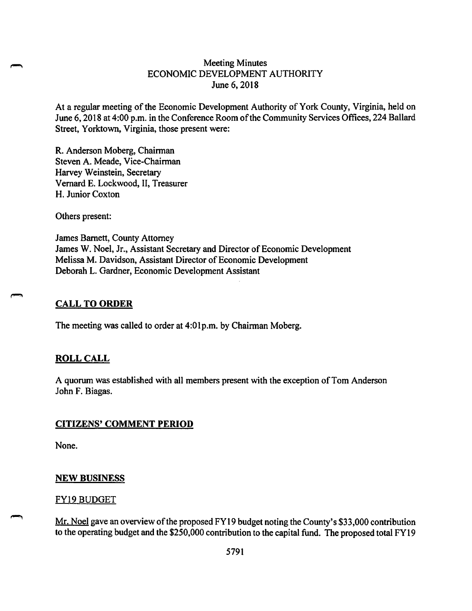# Meeting Minutes ECONOMIC DEVELOPMENT AUTHORITY June 6, 2018

At a regular meeting of the Economic Development Authority of York County, Virginia, held on June 6, 2018 at 4:00 p.m. in the Conference Room of the Community Services Offices, 224 Ballard Street, Yorktown, Virginia, those present were:

**R.** Anderson Moberg, Chairman Steven A. Meade, Vice-Chairman Harvey Weinstein, Secretary Vernard E. Lockwood, II, Treasurer H. Junior Coxton

Others present:

James Barnett, County Attorney James W. Noel, Jr., Assistant Secretary and Director of Economic Development Melissa M. Davidson, Assistant Director of Economic Development Deborah L. Gardner, Economic Development Assistant

# **CALL TO ORDER**

The meeting was called to order at 4:0lp.m. by Chairman Moberg.

# **ROLL CALL**

A quorum was established with all members present with the exception ofTom Anderson John F. Biagas.

# **CITIZENS' COMMENT PERIOD**

None.

# **NEW BUSINESS**

# FY19 BUDGET

Mr. Noel gave an overview of the proposed FY19 budget noting the County's \$33,000 contribution to the operating budget and the \$250,000 contribution to the capital fund. The proposed total FY 19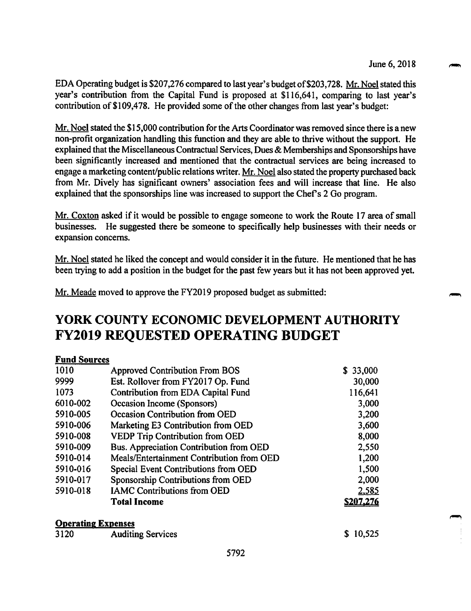EDA Operating budget is \$207,276 compared to last year's budget of\$203,728. Mr. Noel stated this year's contribution from the Capital Fund is proposed at \$116,641, comparing to last year's contribution of \$109,478. He provided some of the other changes from last year's budget:

 $Mr.$  Noel stated the \$15,000 contribution for the Arts Coordinator was removed since there is a new non-profit organization handling this function and they are able to thrive without the support. He explained that the Miscellaneous Contractual Services, Dues & Memberships and Sponsorships have been significantly increased and mentioned that the contractual services are being increased to engage a marketing content/public relations writer. Mr. Noel also stated the property purchased back from Mr. Dively has significant owners' association fees and will increase that line. He also explained that the sponsorships line was increased to support the Chef's 2 Go program.

Mr. Coxton asked if it would be possible to engage someone to work the Route 17 area of small businesses. He suggested there be someone to specifically help businesses with their needs or expansion concerns.

Mr. Noel stated he liked the concept and would consider it in the future. He mentioned that he has been trying to add a position in the budget for the past few years but it has not been approved yet.

Mr. Meade moved to approve the FY2019 proposed budget as submitted:

# **YORK COUNTY ECONOMIC DEVELOPMENT AUTHORITY FY2019 REQUESTED OPERA TING BUDGET**

# **Fund Sources**

| 1010                      | <b>Approved Contribution From BOS</b><br>\$33,000 |                  |  |  |
|---------------------------|---------------------------------------------------|------------------|--|--|
| 9999                      | Est. Rollover from FY2017 Op. Fund                |                  |  |  |
| 1073                      | Contribution from EDA Capital Fund                | 116,641          |  |  |
| 6010-002                  | Occasion Income (Sponsors)                        | 3,000            |  |  |
| 5910-005                  | Occasion Contribution from OED                    | 3,200            |  |  |
| 5910-006                  | Marketing E3 Contribution from OED                | 3,600            |  |  |
| 5910-008                  | <b>VEDP Trip Contribution from OED</b>            | 8,000            |  |  |
| 5910-009                  | Bus. Appreciation Contribution from OED           | 2,550            |  |  |
| 5910-014                  | Meals/Entertainment Contribution from OED         | 1,200            |  |  |
| 5910-016                  | Special Event Contributions from OED              | 1,500            |  |  |
| 5910-017                  | Sponsorship Contributions from OED                | 2,000            |  |  |
| 5910-018                  | <b>IAMC Contributions from OED</b>                | 2,585            |  |  |
|                           | <b>Total Income</b>                               | <u>\$207.276</u> |  |  |
| <b>Operating Expenses</b> |                                                   |                  |  |  |
| 3120                      | <b>Auditing Services</b>                          | \$10,525         |  |  |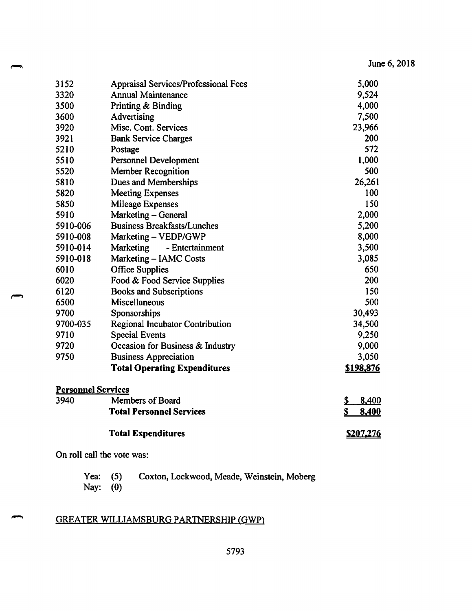| 3152                      | <b>Appraisal Services/Professional Fees</b> | 5,000            |
|---------------------------|---------------------------------------------|------------------|
| 3320                      | <b>Annual Maintenance</b>                   | 9,524            |
| 3500                      | Printing & Binding                          | 4,000            |
| 3600                      | Advertising                                 | 7,500            |
| 3920                      | Misc. Cont. Services                        | 23,966           |
| 3921                      | <b>Bank Service Charges</b>                 | 200              |
| 5210                      | Postage                                     | 572              |
| 5510                      | <b>Personnel Development</b>                | 1,000            |
| 5520                      | <b>Member Recognition</b>                   | 500              |
| 5810                      | Dues and Memberships                        | 26,261           |
| 5820                      | <b>Meeting Expenses</b>                     | 100              |
| 5850                      | <b>Mileage Expenses</b>                     | 150              |
| 5910                      | Marketing – General                         | 2,000            |
| 5910-006                  | <b>Business Breakfasts/Lunches</b>          | 5,200            |
| 5910-008                  | Marketing - VEDP/GWP                        | 8,000            |
| 5910-014                  | Marketing<br>- Entertainment                | 3,500            |
| 5910-018                  | Marketing - IAMC Costs                      | 3,085            |
| 6010                      | <b>Office Supplies</b>                      | 650              |
| 6020                      | Food & Food Service Supplies                | 200              |
| 6120                      | <b>Books and Subscriptions</b>              | 150              |
| 6500                      | Miscellaneous                               | 500              |
| 9700                      | Sponsorships                                | 30,493           |
| 9700-035                  | <b>Regional Incubator Contribution</b>      | 34,500           |
| 9710                      | <b>Special Events</b>                       | 9,250            |
| 9720                      | Occasion for Business & Industry            | 9,000            |
| 9750                      | <b>Business Appreciation</b>                | 3,050            |
|                           | <b>Total Operating Expenditures</b>         | <u>\$198,876</u> |
| <b>Personnel Services</b> |                                             |                  |
| 3940                      | Members of Board                            | 8,400<br>\$      |
|                           | <b>Total Personnel Services</b>             | \$<br>8,400      |
|                           | <b>Total Expenditures</b>                   | <u>\$207,276</u> |

On roll call the vote was:

| Yea: $(5)$ | Coxton, Lockwood, Meade, Weinstein, Moberg |  |
|------------|--------------------------------------------|--|
| Nay: $(0)$ |                                            |  |

# GREATER WILLIAMSBURG PARTNERSHIP (GWP)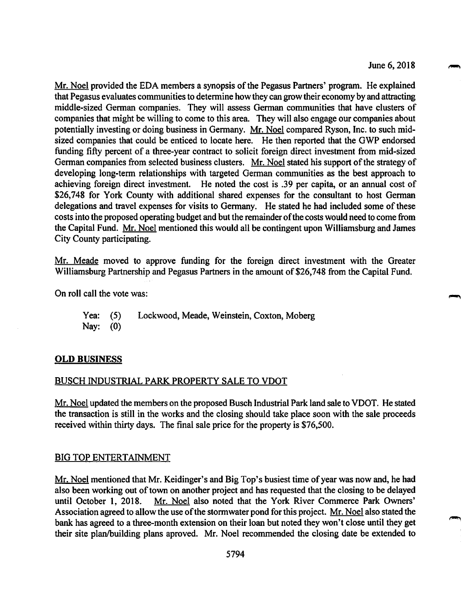Mr. Noel provided the EDA members a synopsis of the Pegasus Partners' program. He explained that Pegasus evaluates communities to determine how they can grow their economy by and attracting middle-sized German companies. They will assess German communities that have clusters of companies that might be willing to come to this area. They will also engage our companies about potentially investing or doing business in Germany. Mr. Noel compared Ryson, Inc. to such midsized companies that could be enticed to locate here. He then reported that the GWP endorsed funding fifty percent of a three-year contract to solicit foreign direct investment from mid-sized German companies from selected business clusters. Mr. Noel stated his support of the strategy of developing long-term relationships with targeted German communities as the best approach to achieving foreign direct investment. He noted the cost is .39 per capita, or an annual cost of \$26,748 for York County with additional shared expenses for the consultant to host German delegations and travel expenses for visits to Germany. He stated he had included some of these costs into the proposed operating budget and but the remainder ofthe costs would need to come from the Capital Fund. Mr. Noel mentioned this would all be contingent upon Williamsburg and James City County participating.

Mr. Meade moved to approve funding for the foreign direct investment with the Greater Williamsburg Partnership and Pegasus Partners in the amount of \$26,748 from the Capital Fund.

On roll call the vote was:

Yea: (5) Lockwood, Meade, Weinstein, Coxton, Moberg Nay: (0)

#### **OLD BUSINESS**

### BUSCH INDUSTRIAL PARK PROPERTY SALE TO VDOT

Mr. Noel updated the members on the proposed Busch Industrial Park land sale to VDOT. He stated the transaction is still in the works and the closing should take place soon with the sale proceeds received within thirty days. The final sale price for the property is \$76,500.

#### BIG TOP ENTERTAINMENT

Mr. Noel mentioned that Mr. Keidinger's and Big Top's busiest time of year was now and, he had also been working out of town on another project and has requested that the closing to be delayed until October 1, 2018. Mr. Noel also noted that the York River Commerce Park Owners' Association agreed to allow the use of the stormwater pond for this project. Mr. Noel also stated the bank has agreed to a three-month extension on their loan but noted they won't close until they get their site plan/building plans aproved. Mr. Noel recommended the closing date be extended to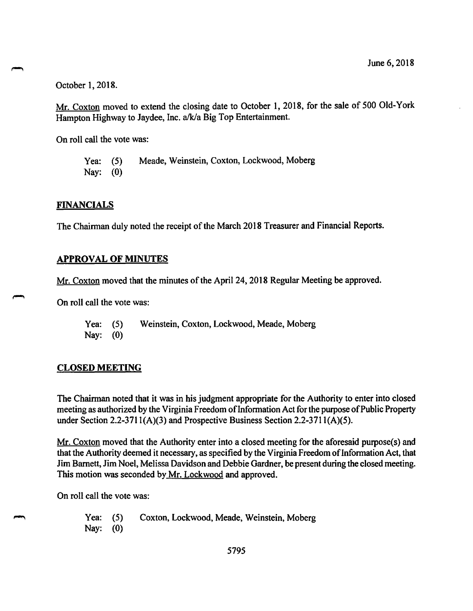October 1, 2018.

Mr. Coxton moved to extend the closing date to October 1, 2018, for the sale of 500 Old-York Hampton Highway to Jaydee, Inc. a/k/a Big Top Entertainment.

On roll call the vote was:

Yea: (5) Meade, Weinstein, Coxton, Lockwood, Moberg Nay: (0)

#### **FINANCIALS**

The Chairman duly noted the receipt of the March 2018 Treasurer and Financial Reports.

#### **APPROVAL OF MINUTES**

Mr. Coxton moved that the minutes of the April 24, 2018 Regular Meeting be approved.

On roll call the vote was:

Yea: (5) Weinstein, Coxton, Lockwood, Meade, Moberg Nay: (0)

#### **CLOSED MEETING**

The Chairman noted that it was in his judgment appropriate for the Authority to enter into closed meeting as authorized by the Virginia Freedom of Information Act for the purpose of Public Property under Section 2.2-371 l(A)(3) and Prospective Business Section 2.2-3711(A)(5).

Mr. Coxton moved that the Authority enter into a closed meeting for the aforesaid purpose(s) and that the Authority deemed it necessary, as specified by the Virginia Freedom of Information Act, that Jim Barnett, Jim Noel, Melissa Davidson and Debbie Gardner, be present during the closed meeting. This motion was seconded by Mr. Lockwood and approved.

On roll call the vote was:

Yea: (5) Coxton, Lockwood, Meade, Weinstein, Moberg Nay: (0)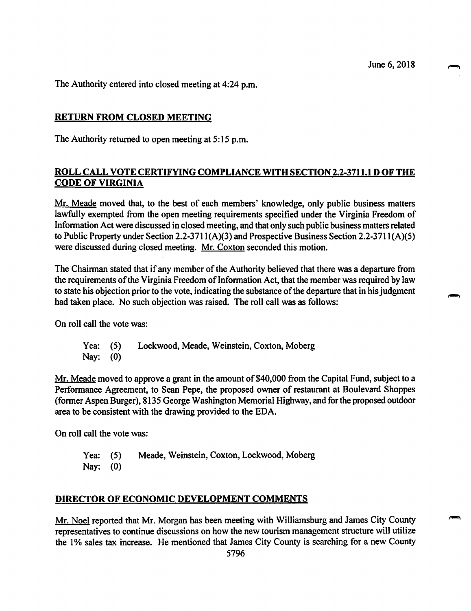The Authority entered into closed meeting at 4:24 p.m.

## **RETURN FROM CLOSED MEETING**

The Authority returned to open meeting at 5: 15 p.m.

# **ROLL CALL VOTE CERTIFYING COMPLIANCE WITH SECTION 2.2-3711.1 D OF THE CODE OF VIRGINIA**

Mr. Meade moved that, to the best of each members' knowledge, only public business matters lawfully exempted from the open meeting requirements specified under the Virginia Freedom of Information Act were discussed in closed meeting, and that only such public business matters related to Public Property under Section 2.2-371 l(A)(3) and Prospective Business Section 2.2-371 l(A)(S) were discussed during closed meeting. Mr. Coxton seconded this motion.

The Chairman stated that if any member of the Authority believed that there was a departure from the requirements of the Virginia Freedom of Information Act, that the member was required by law to state his objection prior to the vote, indicating the substance of the departure that in his judgment had taken place. No such objection was raised. The roll call was as follows:

On roll call the vote was:

Yea: (5) Lockwood, Meade, Weinstein, Coxton, Moberg Nay: (0)

Mr. Meade moved to approve a grant in the amount of \$40,000 from the Capital Fund, subject to a Performance Agreement, to Sean Pepe, the proposed owner of restaurant at Boulevard Shoppes (former Aspen Burger), 8135 George Washington Memorial Highway, and for the proposed outdoor area to be consistent with the drawing provided to the EDA.

On roll call the vote was:

Yea: (5) Meade, Weinstein, Coxton, Lockwood, Moberg Nay: (0)

### **DIRECTOR OF ECONOMIC DEVELOPMENT COMMENTS**

Mr. Noel reported that Mr. Morgan has been meeting with Williamsburg and James City County representatives to continue discussions on how the new tourism management structure will utilize the 1% sales tax increase. He mentioned that James City County is searching for a new County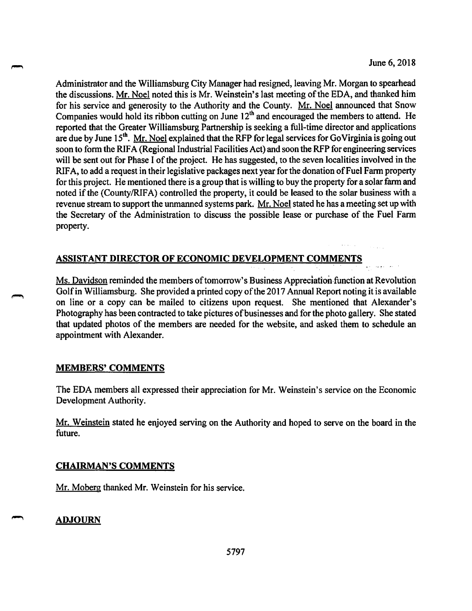Administrator and the Williamsburg City Manager had resigned, leaving Mr. Morgan to spearhead the discussions. Mr. Noel noted this is Mr. Weinstein's last meeting of the EDA, and thanked him for his service and generosity to the Authority and the County. Mr. Noel announced that Snow Companies would hold its ribbon cutting on June  $12<sup>th</sup>$  and encouraged the members to attend. He reported that the Greater Williamsburg Partnership is seeking a full-time director and applications are due by June 15<sup>th</sup>. Mr. Noel explained that the RFP for legal services for Go Virginia is going out soon to form the RIFA (Regional Industrial Facilities Act) and soon the RFP for engineering services will be sent out for Phase I of the project. He has suggested, to the seven localities involved in the RIFA, to add a request in their legislative packages next year for the donation of Fuel Farm property for this project. He mentioned there is a group that is willing to buy the property for a solar farm and noted if the (County/RIFA) controlled the property, it could be leased to the solar business with a revenue stream to support the unmanned systems park. Mr. Noel stated he has a meeting set up with the Secretary of the Administration to discuss the possible lease or purchase of the Fuel Farm property.

# **ASSISTANT DIRECTOR OF ECONOMIC DEVELOPMENT COMMENTS**

Ms. Davidson reminded the members of tomorrow's Business Appreciation function at Revolution Golf in Williamsburg. She provided a printed copy of the 2017 Annual Report noting it is available on line or a copy can be mailed to citizens upon request. She mentioned that Alexander's Photography has been contracted to take pictures of businesses and for the photo gallery. She stated that updated photos of the members are needed for the website, and asked them to schedule an appointment with Alexander.

# **MEMBERS' COMMENTS**

The EDA members all expressed their appreciation for Mr. Weinstein's service on the Economic Development Authority.

Mr. Weinstein stated he enjoyed serving on the Authority and hoped to serve on the board in the future.

# **CHAIRMAN'S COMMENTS**

Mr. Moberg thanked Mr. Weinstein for his service.

# **ADJOURN**